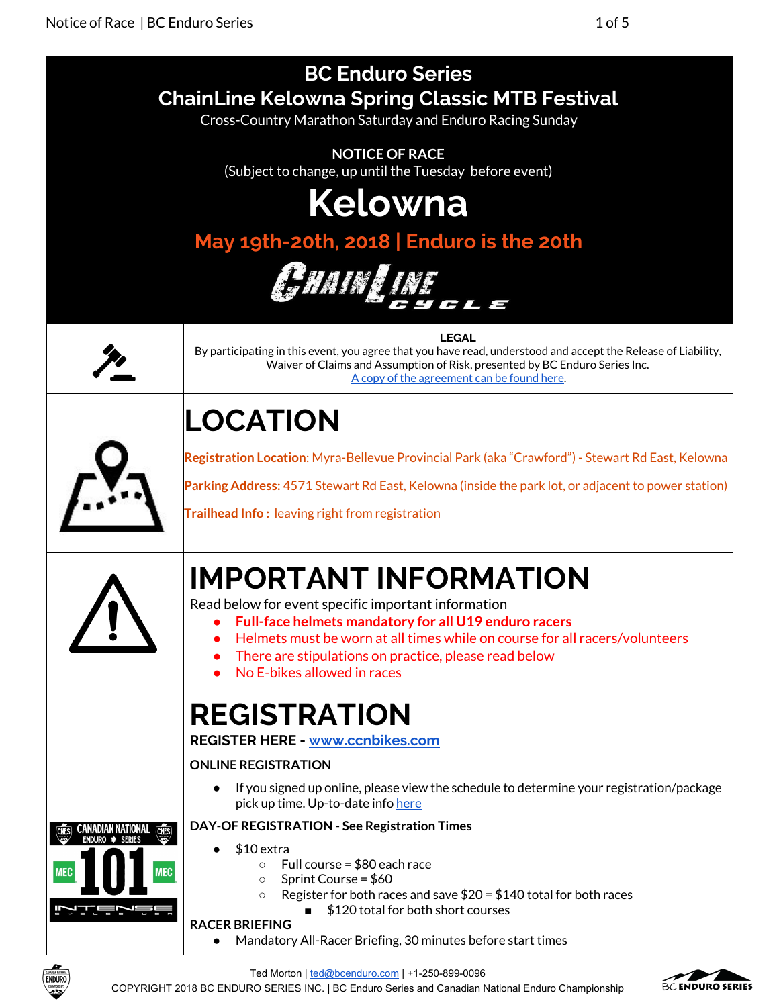

Ted Morton | [ted@bcenduro.com](mailto:ted@bcenduro.com) | +1-250-899-0096

COPYRIGHT 2018 BC ENDURO SERIES INC. | BC Enduro Series and Canadian National Enduro Championship

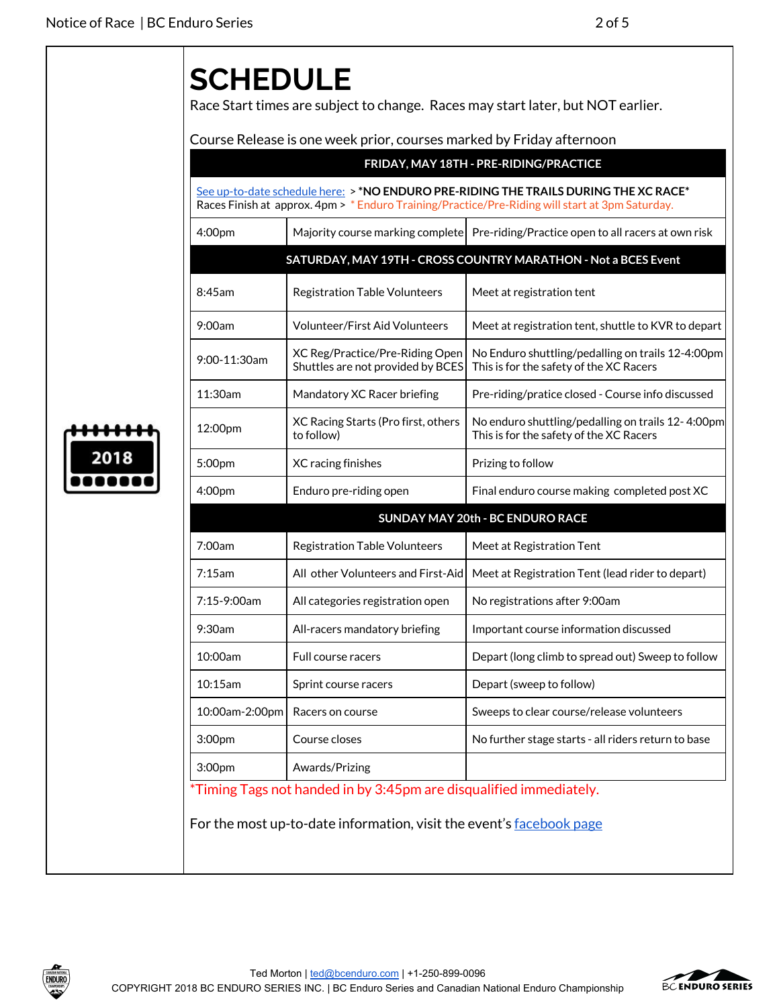## **SCHEDULE**

Race Start times are subject to change. Races may start later, but NOT earlier.

Course Release is one week prior, courses marked by Friday afternoon

|              |                                                                      | See up-to-date schedule here: > *NO ENDURO PRE-RIDING THE TRAILS DURING THE XC RACE*<br>Races Finish at approx. 4pm > * Enduro Training/Practice/Pre-Riding will start at 3pm Saturday. |
|--------------|----------------------------------------------------------------------|-----------------------------------------------------------------------------------------------------------------------------------------------------------------------------------------|
| 4:00pm       |                                                                      | Majority course marking complete Pre-riding/Practice open to all racers at own risk                                                                                                     |
|              |                                                                      | SATURDAY, MAY 19TH - CROSS COUNTRY MARATHON - Not a BCES Event                                                                                                                          |
| 8:45am       | <b>Registration Table Volunteers</b>                                 | Meet at registration tent                                                                                                                                                               |
| 9:00am       | <b>Volunteer/First Aid Volunteers</b>                                | Meet at registration tent, shuttle to KVR to depart                                                                                                                                     |
| 9:00-11:30am | XC Reg/Practice/Pre-Riding Open<br>Shuttles are not provided by BCES | No Enduro shuttling/pedalling on trails 12-4:00pm<br>This is for the safety of the XC Racers                                                                                            |
| 11:30am      | Mandatory XC Racer briefing                                          | Pre-riding/pratice closed - Course info discussed                                                                                                                                       |
| 12:00pm      | XC Racing Starts (Pro first, others<br>to follow)                    | No enduro shuttling/pedalling on trails 12-4:00pm<br>This is for the safety of the XC Racers                                                                                            |
| 5:00pm       | XC racing finishes                                                   | Prizing to follow                                                                                                                                                                       |
| 4:00pm       | Enduro pre-riding open                                               | Final enduro course making completed post XC                                                                                                                                            |
|              |                                                                      | SUNDAY MAY 20th - BC ENDURO RACE                                                                                                                                                        |
| 7:00am       | <b>Registration Table Volunteers</b>                                 | Meet at Registration Tent                                                                                                                                                               |
| 7:15am       | All other Volunteers and First-Aid                                   | Meet at Registration Tent (lead rider to depart)                                                                                                                                        |
| 7:15-9:00am  | All categories registration open                                     | No registrations after 9:00am                                                                                                                                                           |
| 9:30am       | All-racers mandatory briefing                                        | Important course information discussed                                                                                                                                                  |
| 10:00am      | Full course racers                                                   | Depart (long climb to spread out) Sweep to follow                                                                                                                                       |
| 10:15am      | Sprint course racers                                                 | Depart (sweep to follow)                                                                                                                                                                |
|              | 10:00am-2:00pm   Racers on course                                    | Sweeps to clear course/release volunteers                                                                                                                                               |
| 3:00pm       | Course closes                                                        | No further stage starts - all riders return to base                                                                                                                                     |
| 3:00pm       | Awards/Prizing                                                       |                                                                                                                                                                                         |





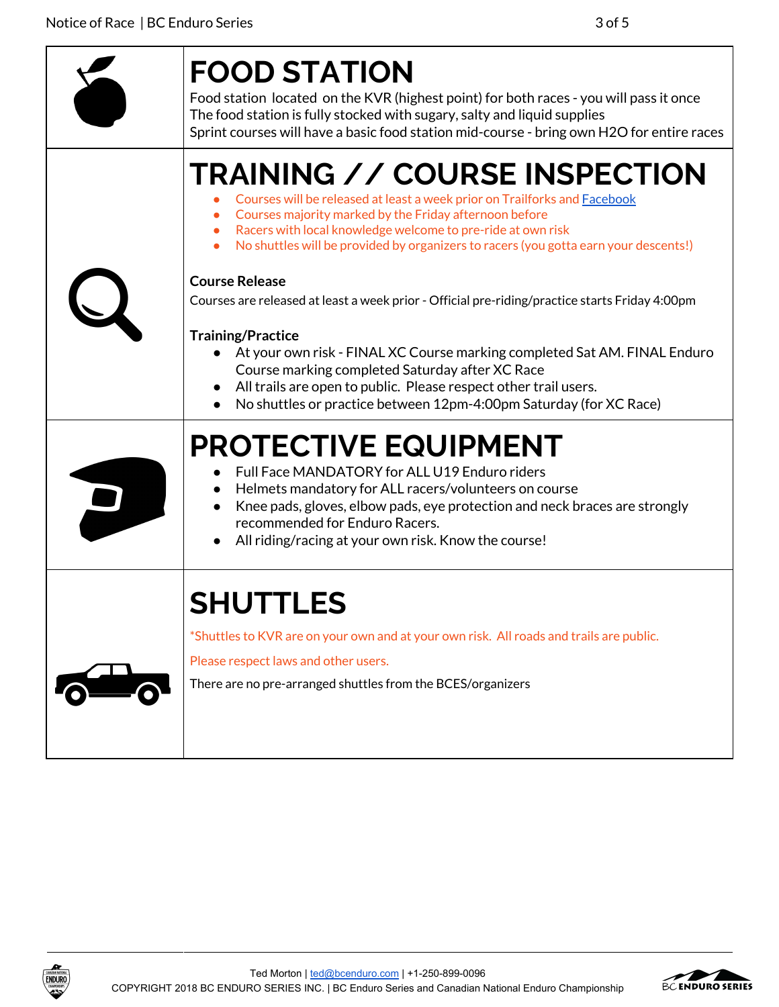| <b>FOOD STATION</b><br>Food station located on the KVR (highest point) for both races - you will pass it once<br>The food station is fully stocked with sugary, salty and liquid supplies<br>Sprint courses will have a basic food station mid-course - bring own H2O for entire races                                                                                                                                          |
|---------------------------------------------------------------------------------------------------------------------------------------------------------------------------------------------------------------------------------------------------------------------------------------------------------------------------------------------------------------------------------------------------------------------------------|
| <b>TRAINING // COURSE INSPECTION</b><br>Courses will be released at least a week prior on Trailforks and <b>Facebook</b><br>Courses majority marked by the Friday afternoon before<br>Racers with local knowledge welcome to pre-ride at own risk<br>No shuttles will be provided by organizers to racers (you gotta earn your descents!)                                                                                       |
| <b>Course Release</b><br>Courses are released at least a week prior - Official pre-riding/practice starts Friday 4:00pm<br><b>Training/Practice</b><br>• At your own risk - FINAL XC Course marking completed Sat AM. FINAL Enduro<br>Course marking completed Saturday after XC Race<br>All trails are open to public. Please respect other trail users.<br>No shuttles or practice between 12pm-4:00pm Saturday (for XC Race) |
| <b>PROTECTIVE EQUIPMENT</b><br>Full Face MANDATORY for ALL U19 Enduro riders<br>Helmets mandatory for ALL racers/volunteers on course<br>Knee pads, gloves, elbow pads, eye protection and neck braces are strongly<br>$\bullet$<br>recommended for Enduro Racers.<br>All riding/racing at your own risk. Know the course!                                                                                                      |
| <b>SHUTTLES</b><br>*Shuttles to KVR are on your own and at your own risk. All roads and trails are public.<br>Please respect laws and other users.<br>There are no pre-arranged shuttles from the BCES/organizers                                                                                                                                                                                                               |



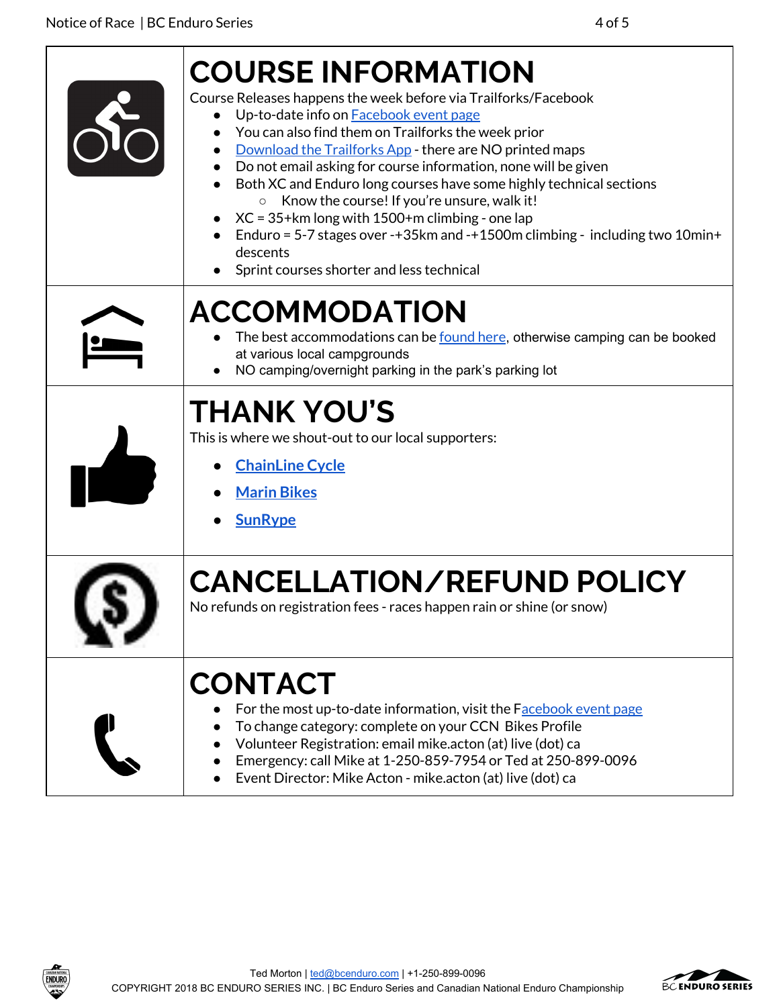| <b>COURSE INFORMATION</b><br>Course Releases happens the week before via Trailforks/Facebook<br>Up-to-date info on Facebook event page<br>You can also find them on Trailforks the week prior<br>Download the Trailforks App - there are NO printed maps<br>Do not email asking for course information, none will be given<br>Both XC and Enduro long courses have some highly technical sections<br>Know the course! If you're unsure, walk it!<br>$\circ$<br>$XC = 35 + km$ long with 1500+m climbing - one lap<br>Enduro = 5-7 stages over -+35km and -+1500m climbing - including two 10min+<br>descents<br>Sprint courses shorter and less technical |
|-----------------------------------------------------------------------------------------------------------------------------------------------------------------------------------------------------------------------------------------------------------------------------------------------------------------------------------------------------------------------------------------------------------------------------------------------------------------------------------------------------------------------------------------------------------------------------------------------------------------------------------------------------------|
| <b>ACCOMMODATION</b><br>The best accommodations can be <u>found here</u> , otherwise camping can be booked<br>at various local campgrounds<br>NO camping/overnight parking in the park's parking lot                                                                                                                                                                                                                                                                                                                                                                                                                                                      |
| <b>THANK YOU'S</b><br>This is where we shout-out to our local supporters:<br><b>ChainLine Cycle</b><br><b>Marin Bikes</b><br><b>SunRype</b>                                                                                                                                                                                                                                                                                                                                                                                                                                                                                                               |
| <b>CANCELLATION/REFUND POLICY</b><br>No refunds on registration fees - races happen rain or shine (or snow)                                                                                                                                                                                                                                                                                                                                                                                                                                                                                                                                               |
| <b>CONTACT</b><br>For the most up-to-date information, visit the Facebook event page<br>To change category: complete on your CCN Bikes Profile<br>Volunteer Registration: email mike.acton (at) live (dot) ca<br>Emergency: call Mike at 1-250-859-7954 or Ted at 250-899-0096<br>Event Director: Mike Acton - mike.acton (at) live (dot) ca                                                                                                                                                                                                                                                                                                              |